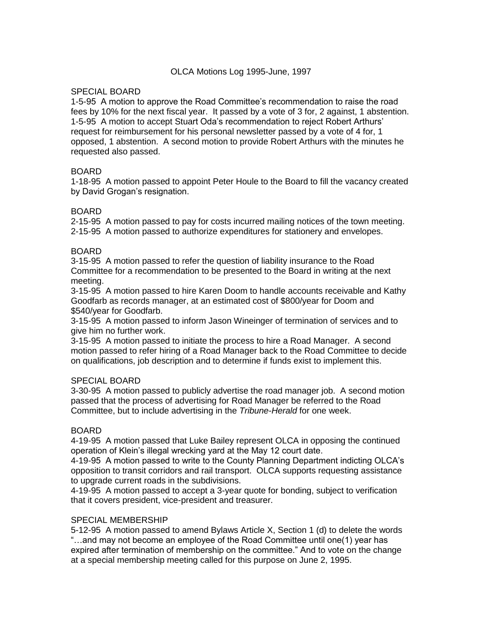### SPECIAL BOARD

1-5-95 A motion to approve the Road Committee's recommendation to raise the road fees by 10% for the next fiscal year. It passed by a vote of 3 for, 2 against, 1 abstention. 1-5-95 A motion to accept Stuart Oda's recommendation to reject Robert Arthurs' request for reimbursement for his personal newsletter passed by a vote of 4 for, 1 opposed, 1 abstention. A second motion to provide Robert Arthurs with the minutes he requested also passed.

## BOARD

1-18-95 A motion passed to appoint Peter Houle to the Board to fill the vacancy created by David Grogan's resignation.

## BOARD

2-15-95 A motion passed to pay for costs incurred mailing notices of the town meeting. 2-15-95 A motion passed to authorize expenditures for stationery and envelopes.

### BOARD

3-15-95 A motion passed to refer the question of liability insurance to the Road Committee for a recommendation to be presented to the Board in writing at the next meeting.

3-15-95 A motion passed to hire Karen Doom to handle accounts receivable and Kathy Goodfarb as records manager, at an estimated cost of \$800/year for Doom and \$540/year for Goodfarb.

3-15-95 A motion passed to inform Jason Wineinger of termination of services and to give him no further work.

3-15-95 A motion passed to initiate the process to hire a Road Manager. A second motion passed to refer hiring of a Road Manager back to the Road Committee to decide on qualifications, job description and to determine if funds exist to implement this.

### SPECIAL BOARD

3-30-95 A motion passed to publicly advertise the road manager job. A second motion passed that the process of advertising for Road Manager be referred to the Road Committee, but to include advertising in the *Tribune-Herald* for one week.

### BOARD

4-19-95 A motion passed that Luke Bailey represent OLCA in opposing the continued operation of Klein's illegal wrecking yard at the May 12 court date.

4-19-95 A motion passed to write to the County Planning Department indicting OLCA's opposition to transit corridors and rail transport. OLCA supports requesting assistance to upgrade current roads in the subdivisions.

4-19-95 A motion passed to accept a 3-year quote for bonding, subject to verification that it covers president, vice-president and treasurer.

### SPECIAL MEMBERSHIP

5-12-95 A motion passed to amend Bylaws Article X, Section 1 (d) to delete the words "…and may not become an employee of the Road Committee until one(1) year has expired after termination of membership on the committee." And to vote on the change at a special membership meeting called for this purpose on June 2, 1995.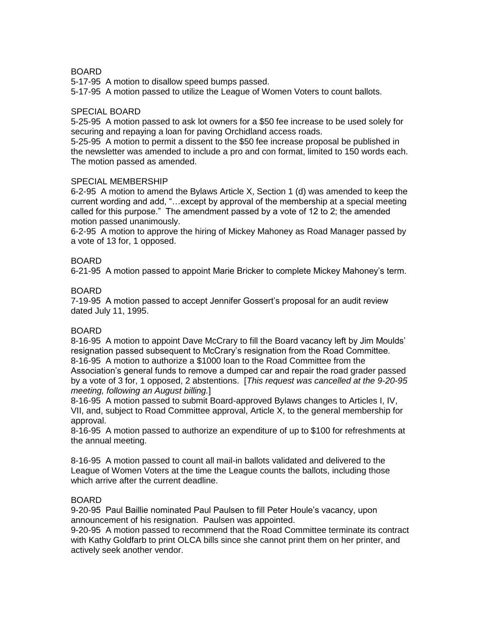## **BOARD**

5-17-95 A motion to disallow speed bumps passed.

5-17-95 A motion passed to utilize the League of Women Voters to count ballots.

#### SPECIAL BOARD

5-25-95 A motion passed to ask lot owners for a \$50 fee increase to be used solely for securing and repaying a loan for paving Orchidland access roads.

5-25-95 A motion to permit a dissent to the \$50 fee increase proposal be published in the newsletter was amended to include a pro and con format, limited to 150 words each. The motion passed as amended.

#### SPECIAL MEMBERSHIP

6-2-95 A motion to amend the Bylaws Article X, Section 1 (d) was amended to keep the current wording and add, "…except by approval of the membership at a special meeting called for this purpose." The amendment passed by a vote of 12 to 2; the amended motion passed unanimously.

6-2-95 A motion to approve the hiring of Mickey Mahoney as Road Manager passed by a vote of 13 for, 1 opposed.

### BOARD

6-21-95 A motion passed to appoint Marie Bricker to complete Mickey Mahoney's term.

#### BOARD

7-19-95 A motion passed to accept Jennifer Gossert's proposal for an audit review dated July 11, 1995.

#### BOARD

8-16-95 A motion to appoint Dave McCrary to fill the Board vacancy left by Jim Moulds' resignation passed subsequent to McCrary's resignation from the Road Committee. 8-16-95 A motion to authorize a \$1000 loan to the Road Committee from the Association's general funds to remove a dumped car and repair the road grader passed by a vote of 3 for, 1 opposed, 2 abstentions. [*This request was cancelled at the 9-20-95 meeting, following an August billing.*]

8-16-95 A motion passed to submit Board-approved Bylaws changes to Articles I, IV, VII, and, subject to Road Committee approval, Article X, to the general membership for approval.

8-16-95 A motion passed to authorize an expenditure of up to \$100 for refreshments at the annual meeting.

8-16-95 A motion passed to count all mail-in ballots validated and delivered to the League of Women Voters at the time the League counts the ballots, including those which arrive after the current deadline.

### BOARD

9-20-95 Paul Baillie nominated Paul Paulsen to fill Peter Houle's vacancy, upon announcement of his resignation. Paulsen was appointed.

9-20-95 A motion passed to recommend that the Road Committee terminate its contract with Kathy Goldfarb to print OLCA bills since she cannot print them on her printer, and actively seek another vendor.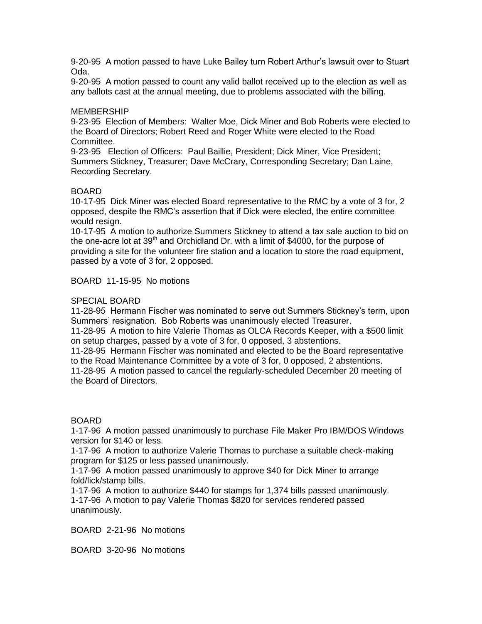9-20-95 A motion passed to have Luke Bailey turn Robert Arthur's lawsuit over to Stuart Oda.

9-20-95 A motion passed to count any valid ballot received up to the election as well as any ballots cast at the annual meeting, due to problems associated with the billing.

#### **MEMBERSHIP**

9-23-95 Election of Members: Walter Moe, Dick Miner and Bob Roberts were elected to the Board of Directors; Robert Reed and Roger White were elected to the Road Committee.

9-23-95 Election of Officers: Paul Baillie, President; Dick Miner, Vice President; Summers Stickney, Treasurer; Dave McCrary, Corresponding Secretary; Dan Laine, Recording Secretary.

#### BOARD

10-17-95 Dick Miner was elected Board representative to the RMC by a vote of 3 for, 2 opposed, despite the RMC's assertion that if Dick were elected, the entire committee would resign.

10-17-95 A motion to authorize Summers Stickney to attend a tax sale auction to bid on the one-acre lot at  $39<sup>th</sup>$  and Orchidland Dr. with a limit of \$4000, for the purpose of providing a site for the volunteer fire station and a location to store the road equipment, passed by a vote of 3 for, 2 opposed.

BOARD 11-15-95 No motions

#### SPECIAL BOARD

11-28-95 Hermann Fischer was nominated to serve out Summers Stickney's term, upon Summers' resignation. Bob Roberts was unanimously elected Treasurer.

11-28-95 A motion to hire Valerie Thomas as OLCA Records Keeper, with a \$500 limit on setup charges, passed by a vote of 3 for, 0 opposed, 3 abstentions.

11-28-95 Hermann Fischer was nominated and elected to be the Board representative to the Road Maintenance Committee by a vote of 3 for, 0 opposed, 2 abstentions.

11-28-95 A motion passed to cancel the regularly-scheduled December 20 meeting of the Board of Directors.

#### BOARD

1-17-96 A motion passed unanimously to purchase File Maker Pro IBM/DOS Windows version for \$140 or less.

1-17-96 A motion to authorize Valerie Thomas to purchase a suitable check-making program for \$125 or less passed unanimously.

1-17-96 A motion passed unanimously to approve \$40 for Dick Miner to arrange fold/lick/stamp bills.

1-17-96 A motion to authorize \$440 for stamps for 1,374 bills passed unanimously. 1-17-96 A motion to pay Valerie Thomas \$820 for services rendered passed unanimously.

BOARD 2-21-96 No motions

BOARD 3-20-96 No motions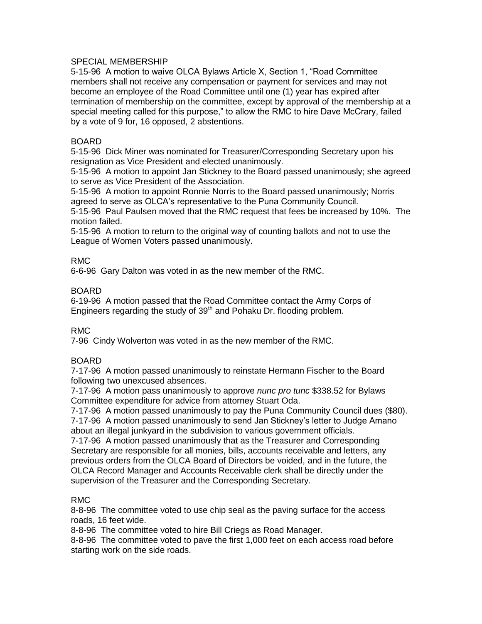#### SPECIAL MEMBERSHIP

5-15-96 A motion to waive OLCA Bylaws Article X, Section 1, "Road Committee members shall not receive any compensation or payment for services and may not become an employee of the Road Committee until one (1) year has expired after termination of membership on the committee, except by approval of the membership at a special meeting called for this purpose," to allow the RMC to hire Dave McCrary, failed by a vote of 9 for, 16 opposed, 2 abstentions.

#### BOARD

5-15-96 Dick Miner was nominated for Treasurer/Corresponding Secretary upon his resignation as Vice President and elected unanimously.

5-15-96 A motion to appoint Jan Stickney to the Board passed unanimously; she agreed to serve as Vice President of the Association.

5-15-96 A motion to appoint Ronnie Norris to the Board passed unanimously; Norris agreed to serve as OLCA's representative to the Puna Community Council.

5-15-96 Paul Paulsen moved that the RMC request that fees be increased by 10%. The motion failed.

5-15-96 A motion to return to the original way of counting ballots and not to use the League of Women Voters passed unanimously.

### RMC

6-6-96 Gary Dalton was voted in as the new member of the RMC.

### BOARD

6-19-96 A motion passed that the Road Committee contact the Army Corps of Engineers regarding the study of  $39<sup>th</sup>$  and Pohaku Dr. flooding problem.

### RMC

7-96 Cindy Wolverton was voted in as the new member of the RMC.

### BOARD

7-17-96 A motion passed unanimously to reinstate Hermann Fischer to the Board following two unexcused absences.

7-17-96 A motion pass unanimously to approve *nunc pro tunc* \$338.52 for Bylaws Committee expenditure for advice from attorney Stuart Oda.

7-17-96 A motion passed unanimously to pay the Puna Community Council dues (\$80).

7-17-96 A motion passed unanimously to send Jan Stickney's letter to Judge Amano about an illegal junkyard in the subdivision to various government officials.

7-17-96 A motion passed unanimously that as the Treasurer and Corresponding Secretary are responsible for all monies, bills, accounts receivable and letters, any previous orders from the OLCA Board of Directors be voided, and in the future, the OLCA Record Manager and Accounts Receivable clerk shall be directly under the supervision of the Treasurer and the Corresponding Secretary.

### RMC

8-8-96 The committee voted to use chip seal as the paving surface for the access roads, 16 feet wide.

8-8-96 The committee voted to hire Bill Criegs as Road Manager.

8-8-96 The committee voted to pave the first 1,000 feet on each access road before starting work on the side roads.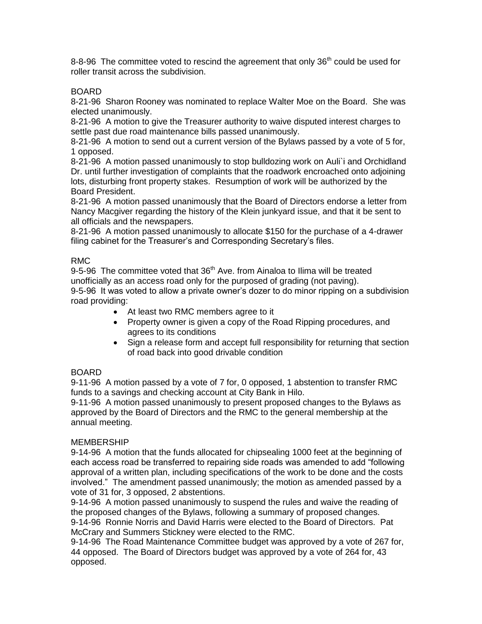8-8-96 The committee voted to rescind the agreement that only  $36<sup>th</sup>$  could be used for roller transit across the subdivision.

## BOARD

8-21-96 Sharon Rooney was nominated to replace Walter Moe on the Board. She was elected unanimously.

8-21-96 A motion to give the Treasurer authority to waive disputed interest charges to settle past due road maintenance bills passed unanimously.

8-21-96 A motion to send out a current version of the Bylaws passed by a vote of 5 for, 1 opposed.

8-21-96 A motion passed unanimously to stop bulldozing work on Auli`i and Orchidland Dr. until further investigation of complaints that the roadwork encroached onto adjoining lots, disturbing front property stakes. Resumption of work will be authorized by the Board President.

8-21-96 A motion passed unanimously that the Board of Directors endorse a letter from Nancy Macgiver regarding the history of the Klein junkyard issue, and that it be sent to all officials and the newspapers.

8-21-96 A motion passed unanimously to allocate \$150 for the purchase of a 4-drawer filing cabinet for the Treasurer's and Corresponding Secretary's files.

### RMC

9-5-96 The committee voted that  $36<sup>th</sup>$  Ave. from Ainaloa to Ilima will be treated unofficially as an access road only for the purposed of grading (not paving).

9-5-96 It was voted to allow a private owner's dozer to do minor ripping on a subdivision road providing:

- At least two RMC members agree to it
- Property owner is given a copy of the Road Ripping procedures, and agrees to its conditions
- Sign a release form and accept full responsibility for returning that section of road back into good drivable condition

## BOARD

9-11-96 A motion passed by a vote of 7 for, 0 opposed, 1 abstention to transfer RMC funds to a savings and checking account at City Bank in Hilo.

9-11-96 A motion passed unanimously to present proposed changes to the Bylaws as approved by the Board of Directors and the RMC to the general membership at the annual meeting.

### MEMBERSHIP

9-14-96 A motion that the funds allocated for chipsealing 1000 feet at the beginning of each access road be transferred to repairing side roads was amended to add "following approval of a written plan, including specifications of the work to be done and the costs involved." The amendment passed unanimously; the motion as amended passed by a vote of 31 for, 3 opposed, 2 abstentions.

9-14-96 A motion passed unanimously to suspend the rules and waive the reading of the proposed changes of the Bylaws, following a summary of proposed changes. 9-14-96 Ronnie Norris and David Harris were elected to the Board of Directors. Pat McCrary and Summers Stickney were elected to the RMC.

9-14-96 The Road Maintenance Committee budget was approved by a vote of 267 for, 44 opposed. The Board of Directors budget was approved by a vote of 264 for, 43 opposed.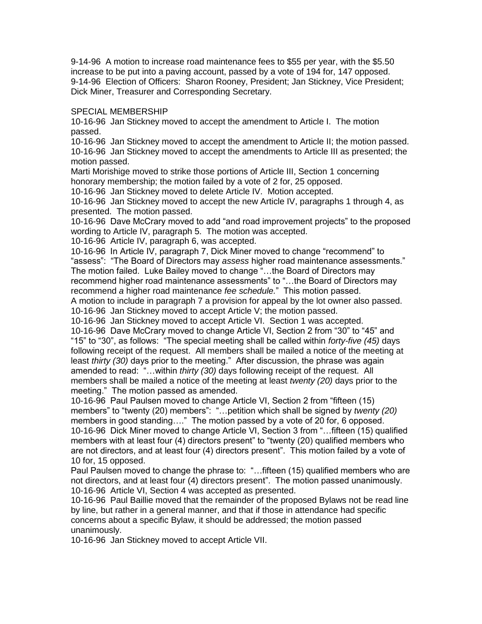9-14-96 A motion to increase road maintenance fees to \$55 per year, with the \$5.50 increase to be put into a paving account, passed by a vote of 194 for, 147 opposed. 9-14-96 Election of Officers: Sharon Rooney, President; Jan Stickney, Vice President; Dick Miner, Treasurer and Corresponding Secretary.

#### SPECIAL MEMBERSHIP

10-16-96 Jan Stickney moved to accept the amendment to Article I. The motion passed.

10-16-96 Jan Stickney moved to accept the amendment to Article II; the motion passed. 10-16-96 Jan Stickney moved to accept the amendments to Article III as presented; the motion passed.

Marti Morishige moved to strike those portions of Article III, Section 1 concerning honorary membership; the motion failed by a vote of 2 for, 25 opposed.

10-16-96 Jan Stickney moved to delete Article IV. Motion accepted.

10-16-96 Jan Stickney moved to accept the new Article IV, paragraphs 1 through 4, as presented. The motion passed.

10-16-96 Dave McCrary moved to add "and road improvement projects" to the proposed wording to Article IV, paragraph 5. The motion was accepted.

10-16-96 Article IV, paragraph 6, was accepted.

10-16-96 In Article IV, paragraph 7, Dick Miner moved to change "recommend" to "assess": "The Board of Directors may *assess* higher road maintenance assessments." The motion failed. Luke Bailey moved to change "…the Board of Directors may recommend higher road maintenance assessments" to "…the Board of Directors may recommend *a* higher road maintenance *fee schedule.*" This motion passed.

A motion to include in paragraph 7 a provision for appeal by the lot owner also passed. 10-16-96 Jan Stickney moved to accept Article V; the motion passed.

10-16-96 Jan Stickney moved to accept Article VI. Section 1 was accepted.

10-16-96 Dave McCrary moved to change Article VI, Section 2 from "30" to "45" and "15" to "30", as follows: "The special meeting shall be called within *forty-five (45)* days following receipt of the request. All members shall be mailed a notice of the meeting at least *thirty (30)* days prior to the meeting." After discussion, the phrase was again amended to read: "…within *thirty (30)* days following receipt of the request. All members shall be mailed a notice of the meeting at least *twenty (20)* days prior to the meeting." The motion passed as amended.

10-16-96 Paul Paulsen moved to change Article VI, Section 2 from "fifteen (15) members" to "twenty (20) members": "…petition which shall be signed by *twenty (20)* members in good standing…." The motion passed by a vote of 20 for, 6 opposed. 10-16-96 Dick Miner moved to change Article VI, Section 3 from "…fifteen (15) qualified members with at least four (4) directors present" to "twenty (20) qualified members who are not directors, and at least four (4) directors present". This motion failed by a vote of 10 for, 15 opposed.

Paul Paulsen moved to change the phrase to: "…fifteen (15) qualified members who are not directors, and at least four (4) directors present". The motion passed unanimously. 10-16-96 Article VI, Section 4 was accepted as presented.

10-16-96 Paul Baillie moved that the remainder of the proposed Bylaws not be read line by line, but rather in a general manner, and that if those in attendance had specific concerns about a specific Bylaw, it should be addressed; the motion passed unanimously.

10-16-96 Jan Stickney moved to accept Article VII.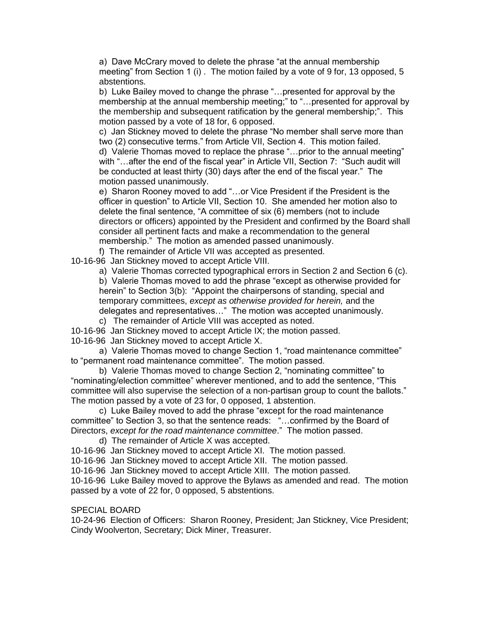a) Dave McCrary moved to delete the phrase "at the annual membership meeting" from Section 1 (i) . The motion failed by a vote of 9 for, 13 opposed, 5 abstentions.

b) Luke Bailey moved to change the phrase "…presented for approval by the membership at the annual membership meeting;" to "…presented for approval by the membership and subsequent ratification by the general membership;". This motion passed by a vote of 18 for, 6 opposed.

c) Jan Stickney moved to delete the phrase "No member shall serve more than two (2) consecutive terms." from Article VII, Section 4. This motion failed. d) Valerie Thomas moved to replace the phrase "…prior to the annual meeting" with "…after the end of the fiscal year" in Article VII, Section 7: "Such audit will be conducted at least thirty (30) days after the end of the fiscal year." The motion passed unanimously.

e) Sharon Rooney moved to add "…or Vice President if the President is the officer in question" to Article VII, Section 10. She amended her motion also to delete the final sentence, "A committee of six (6) members (not to include directors or officers) appointed by the President and confirmed by the Board shall consider all pertinent facts and make a recommendation to the general membership." The motion as amended passed unanimously.

f) The remainder of Article VII was accepted as presented.

10-16-96 Jan Stickney moved to accept Article VIII.

a) Valerie Thomas corrected typographical errors in Section 2 and Section 6 (c).

b) Valerie Thomas moved to add the phrase "except as otherwise provided for herein" to Section 3(b): "Appoint the chairpersons of standing, special and temporary committees, *except as otherwise provided for herein,* and the delegates and representatives…" The motion was accepted unanimously.

c) The remainder of Article VIII was accepted as noted.

10-16-96 Jan Stickney moved to accept Article IX; the motion passed.

10-16-96 Jan Stickney moved to accept Article X.

a) Valerie Thomas moved to change Section 1, "road maintenance committee" to "permanent road maintenance committee". The motion passed.

b) Valerie Thomas moved to change Section 2, "nominating committee" to "nominating/election committee" wherever mentioned, and to add the sentence, "This committee will also supervise the selection of a non-partisan group to count the ballots." The motion passed by a vote of 23 for, 0 opposed, 1 abstention.

c) Luke Bailey moved to add the phrase "except for the road maintenance committee" to Section 3, so that the sentence reads: "…confirmed by the Board of Directors, *except for the road maintenance committee*." The motion passed.

d) The remainder of Article X was accepted.

10-16-96 Jan Stickney moved to accept Article XI. The motion passed.

10-16-96 Jan Stickney moved to accept Article XII. The motion passed.

10-16-96 Jan Stickney moved to accept Article XIII. The motion passed.

10-16-96 Luke Bailey moved to approve the Bylaws as amended and read. The motion passed by a vote of 22 for, 0 opposed, 5 abstentions.

#### SPECIAL BOARD

10-24-96 Election of Officers: Sharon Rooney, President; Jan Stickney, Vice President; Cindy Woolverton, Secretary; Dick Miner, Treasurer.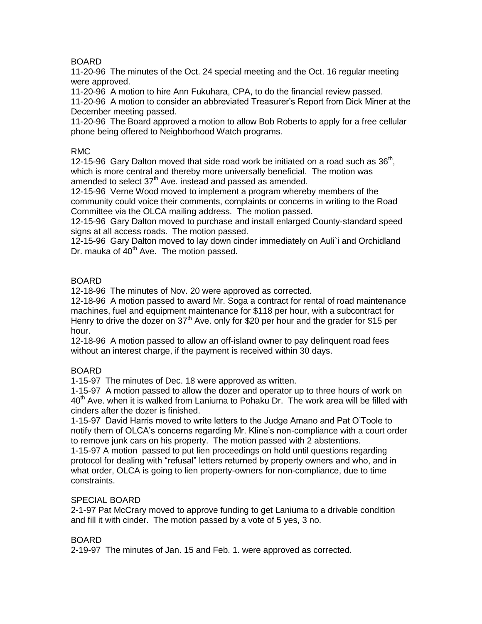## BOARD

11-20-96 The minutes of the Oct. 24 special meeting and the Oct. 16 regular meeting were approved.

11-20-96 A motion to hire Ann Fukuhara, CPA, to do the financial review passed.

11-20-96 A motion to consider an abbreviated Treasurer's Report from Dick Miner at the December meeting passed.

11-20-96 The Board approved a motion to allow Bob Roberts to apply for a free cellular phone being offered to Neighborhood Watch programs.

### RMC

12-15-96 Gary Dalton moved that side road work be initiated on a road such as  $36<sup>th</sup>$ , which is more central and thereby more universally beneficial. The motion was amended to select  $37<sup>th</sup>$  Ave. instead and passed as amended.

12-15-96 Verne Wood moved to implement a program whereby members of the community could voice their comments, complaints or concerns in writing to the Road Committee via the OLCA mailing address. The motion passed.

12-15-96 Gary Dalton moved to purchase and install enlarged County-standard speed signs at all access roads. The motion passed.

12-15-96 Gary Dalton moved to lay down cinder immediately on Auli`i and Orchidland Dr. mauka of 40<sup>th</sup> Ave. The motion passed.

### BOARD

12-18-96 The minutes of Nov. 20 were approved as corrected.

12-18-96 A motion passed to award Mr. Soga a contract for rental of road maintenance machines, fuel and equipment maintenance for \$118 per hour, with a subcontract for Henry to drive the dozer on  $37<sup>th</sup>$  Ave. only for \$20 per hour and the grader for \$15 per hour.

12-18-96 A motion passed to allow an off-island owner to pay delinquent road fees without an interest charge, if the payment is received within 30 days.

### BOARD

1-15-97 The minutes of Dec. 18 were approved as written.

1-15-97 A motion passed to allow the dozer and operator up to three hours of work on 40<sup>th</sup> Ave. when it is walked from Laniuma to Pohaku Dr. The work area will be filled with cinders after the dozer is finished.

1-15-97 David Harris moved to write letters to the Judge Amano and Pat O'Toole to notify them of OLCA's concerns regarding Mr. Kline's non-compliance with a court order to remove junk cars on his property. The motion passed with 2 abstentions. 1-15-97 A motion passed to put lien proceedings on hold until questions regarding protocol for dealing with "refusal" letters returned by property owners and who, and in what order, OLCA is going to lien property-owners for non-compliance, due to time constraints.

#### SPECIAL BOARD

2-1-97 Pat McCrary moved to approve funding to get Laniuma to a drivable condition and fill it with cinder. The motion passed by a vote of 5 yes, 3 no.

### BOARD

2-19-97 The minutes of Jan. 15 and Feb. 1. were approved as corrected.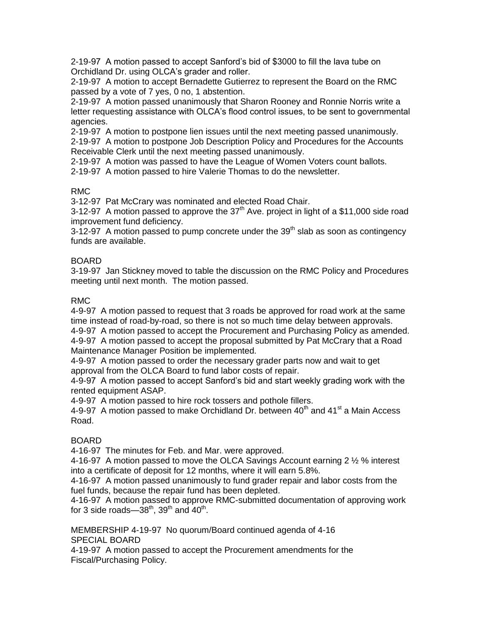2-19-97 A motion passed to accept Sanford's bid of \$3000 to fill the lava tube on Orchidland Dr. using OLCA's grader and roller.

2-19-97 A motion to accept Bernadette Gutierrez to represent the Board on the RMC passed by a vote of 7 yes, 0 no, 1 abstention.

2-19-97 A motion passed unanimously that Sharon Rooney and Ronnie Norris write a letter requesting assistance with OLCA's flood control issues, to be sent to governmental agencies.

2-19-97 A motion to postpone lien issues until the next meeting passed unanimously.

2-19-97 A motion to postpone Job Description Policy and Procedures for the Accounts Receivable Clerk until the next meeting passed unanimously.

2-19-97 A motion was passed to have the League of Women Voters count ballots.

2-19-97 A motion passed to hire Valerie Thomas to do the newsletter.

## RMC

3-12-97 Pat McCrary was nominated and elected Road Chair.

3-12-97 A motion passed to approve the  $37<sup>th</sup>$  Ave. project in light of a \$11,000 side road improvement fund deficiency.

3-12-97 A motion passed to pump concrete under the  $39<sup>th</sup>$  slab as soon as contingency funds are available.

## BOARD

3-19-97 Jan Stickney moved to table the discussion on the RMC Policy and Procedures meeting until next month. The motion passed.

## RMC

4-9-97 A motion passed to request that 3 roads be approved for road work at the same time instead of road-by-road, so there is not so much time delay between approvals.

4-9-97 A motion passed to accept the Procurement and Purchasing Policy as amended.

4-9-97 A motion passed to accept the proposal submitted by Pat McCrary that a Road Maintenance Manager Position be implemented.

4-9-97 A motion passed to order the necessary grader parts now and wait to get approval from the OLCA Board to fund labor costs of repair.

4-9-97 A motion passed to accept Sanford's bid and start weekly grading work with the rented equipment ASAP.

4-9-97 A motion passed to hire rock tossers and pothole fillers.

4-9-97 A motion passed to make Orchidland Dr. between  $40<sup>th</sup>$  and  $41<sup>st</sup>$  a Main Access Road.

# **BOARD**

4-16-97 The minutes for Feb. and Mar. were approved.

4-16-97 A motion passed to move the OLCA Savings Account earning 2 ½ % interest into a certificate of deposit for 12 months, where it will earn 5.8%.

4-16-97 A motion passed unanimously to fund grader repair and labor costs from the fuel funds, because the repair fund has been depleted.

4-16-97 A motion passed to approve RMC-submitted documentation of approving work for 3 side roads—38<sup>th</sup>, 39<sup>th</sup> and 40<sup>th</sup>.

MEMBERSHIP 4-19-97 No quorum/Board continued agenda of 4-16 SPECIAL BOARD

4-19-97 A motion passed to accept the Procurement amendments for the Fiscal/Purchasing Policy.